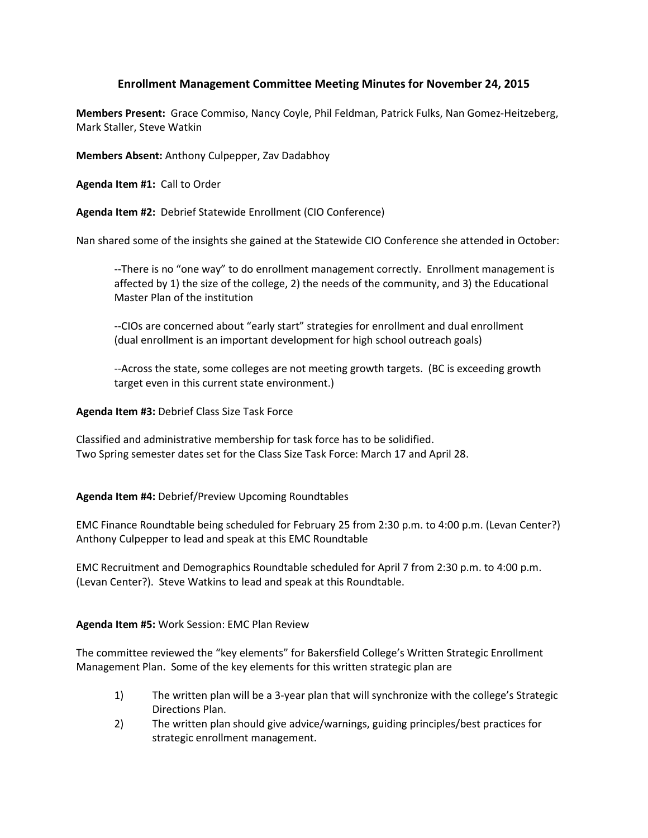## **Enrollment Management Committee Meeting Minutes for November 24, 2015**

**Members Present:** Grace Commiso, Nancy Coyle, Phil Feldman, Patrick Fulks, Nan Gomez-Heitzeberg, Mark Staller, Steve Watkin

**Members Absent:** Anthony Culpepper, Zav Dadabhoy

**Agenda Item #1:** Call to Order

**Agenda Item #2:** Debrief Statewide Enrollment (CIO Conference)

Nan shared some of the insights she gained at the Statewide CIO Conference she attended in October:

--There is no "one way" to do enrollment management correctly. Enrollment management is affected by 1) the size of the college, 2) the needs of the community, and 3) the Educational Master Plan of the institution

--CIOs are concerned about "early start" strategies for enrollment and dual enrollment (dual enrollment is an important development for high school outreach goals)

--Across the state, some colleges are not meeting growth targets. (BC is exceeding growth target even in this current state environment.)

## **Agenda Item #3:** Debrief Class Size Task Force

Classified and administrative membership for task force has to be solidified. Two Spring semester dates set for the Class Size Task Force: March 17 and April 28.

## **Agenda Item #4:** Debrief/Preview Upcoming Roundtables

EMC Finance Roundtable being scheduled for February 25 from 2:30 p.m. to 4:00 p.m. (Levan Center?) Anthony Culpepper to lead and speak at this EMC Roundtable

EMC Recruitment and Demographics Roundtable scheduled for April 7 from 2:30 p.m. to 4:00 p.m. (Levan Center?). Steve Watkins to lead and speak at this Roundtable.

## **Agenda Item #5:** Work Session: EMC Plan Review

The committee reviewed the "key elements" for Bakersfield College's Written Strategic Enrollment Management Plan. Some of the key elements for this written strategic plan are

- 1) The written plan will be a 3-year plan that will synchronize with the college's Strategic Directions Plan.
- 2) The written plan should give advice/warnings, guiding principles/best practices for strategic enrollment management.